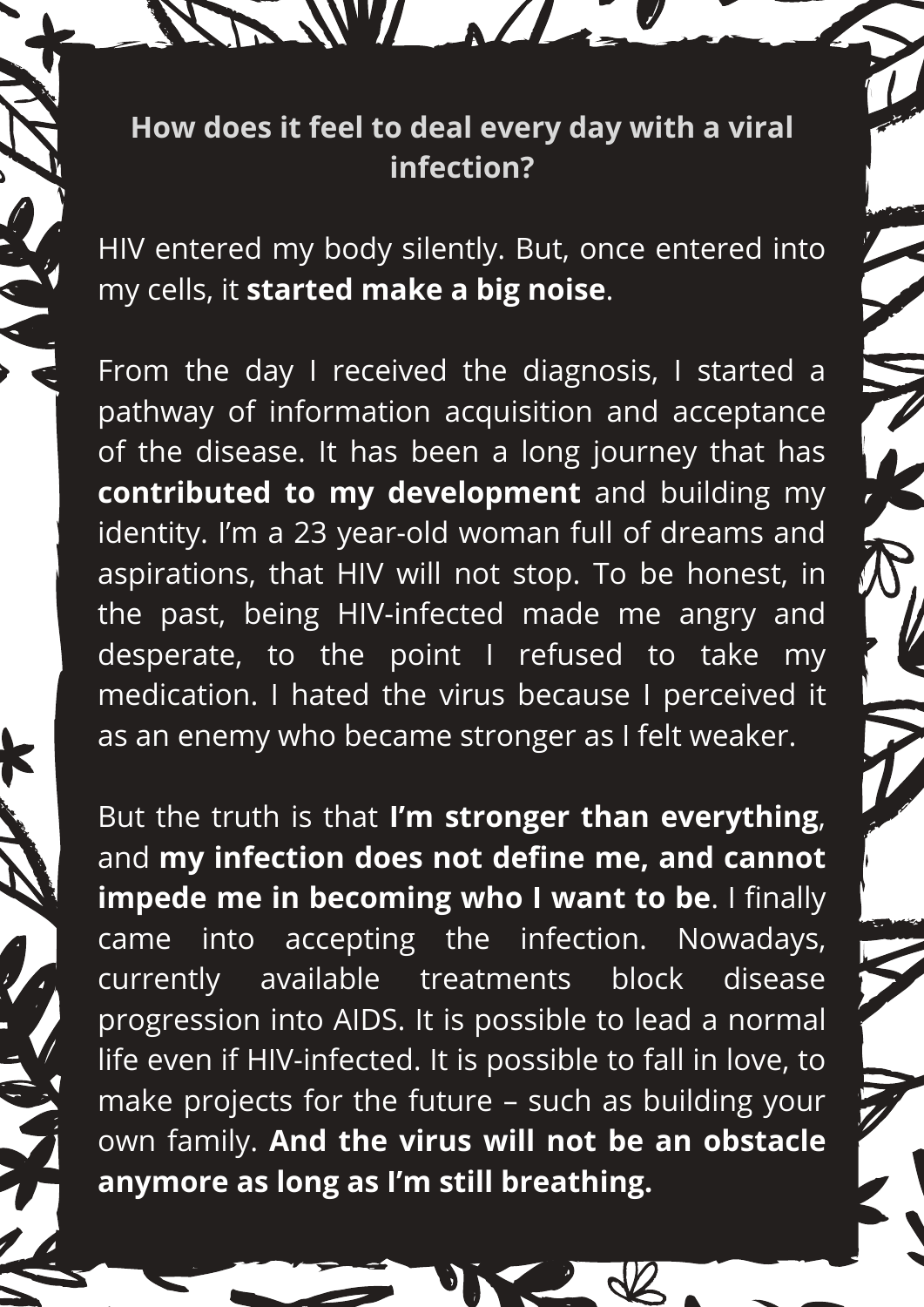## **How does it feel to deal every day with a viral infection?**

SSW ALL

HIV entered my body silently. But, once entered into my cells, it **started make a big noise**.

From the day I received the diagnosis, I started a pathway of information acquisition and acceptance of the disease. It has been a long journey that has **contributed to my development** and building my identity. I'm a 23 year-old woman full of dreams and aspirations, that HIV will not stop. To be honest, in the past, being HIV-infected made me angry and desperate, to the point I refused to take my medication. I hated the virus because I perceived it as an enemy who became stronger as I felt weaker.

But the truth is that **I'm stronger than everything**, and **my infection does not define me, and cannot impede me in becoming who I want to be**. I finally came into accepting the infection. Nowadays, currently available treatments block disease progression into AIDS. It is possible to lead a normal life even if HIV-infected. It is possible to fall in love, to make projects for the future – such as building your own family. **And the virus will not be an obstacle anymore as long as I'm still breathing.**